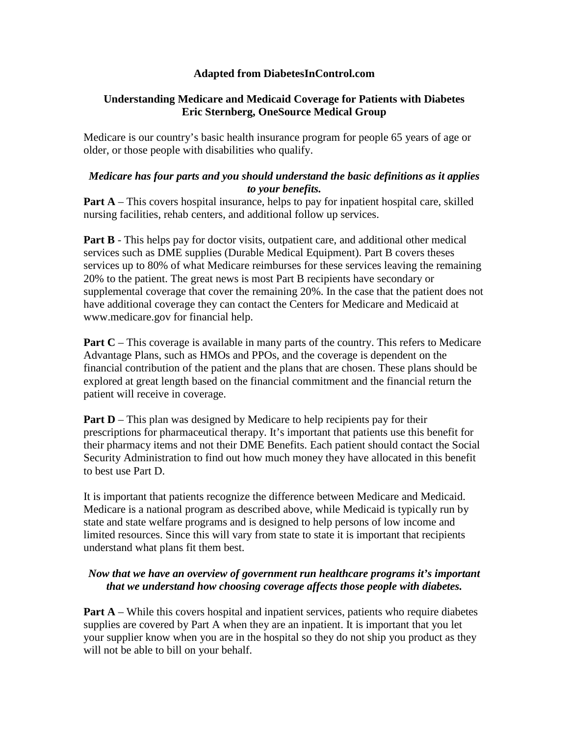# **Adapted from DiabetesInControl.com**

# **Understanding Medicare and Medicaid Coverage for Patients with Diabetes Eric Sternberg, OneSource Medical Group**

Medicare is our country's basic health insurance program for people 65 years of age or older, or those people with disabilities who qualify.

## *Medicare has four parts and you should understand the basic definitions as it applies to your benefits.*

**Part A** – This covers hospital insurance, helps to pay for inpatient hospital care, skilled nursing facilities, rehab centers, and additional follow up services.

**Part B** - This helps pay for doctor visits, outpatient care, and additional other medical services such as DME supplies (Durable Medical Equipment). Part B covers theses services up to 80% of what Medicare reimburses for these services leaving the remaining 20% to the patient. The great news is most Part B recipients have secondary or supplemental coverage that cover the remaining 20%. In the case that the patient does not have additional coverage they can contact the Centers for Medicare and Medicaid at www.medicare.gov for financial help.

**Part C** – This coverage is available in many parts of the country. This refers to Medicare Advantage Plans, such as HMOs and PPOs, and the coverage is dependent on the financial contribution of the patient and the plans that are chosen. These plans should be explored at great length based on the financial commitment and the financial return the patient will receive in coverage.

**Part D** – This plan was designed by Medicare to help recipients pay for their prescriptions for pharmaceutical therapy. It's important that patients use this benefit for their pharmacy items and not their DME Benefits. Each patient should contact the Social Security Administration to find out how much money they have allocated in this benefit to best use Part D.

It is important that patients recognize the difference between Medicare and Medicaid. Medicare is a national program as described above, while Medicaid is typically run by state and state welfare programs and is designed to help persons of low income and limited resources. Since this will vary from state to state it is important that recipients understand what plans fit them best.

# *Now that we have an overview of government run healthcare programs it's important that we understand how choosing coverage affects those people with diabetes.*

**Part A** – While this covers hospital and inpatient services, patients who require diabetes supplies are covered by Part A when they are an inpatient. It is important that you let your supplier know when you are in the hospital so they do not ship you product as they will not be able to bill on your behalf.